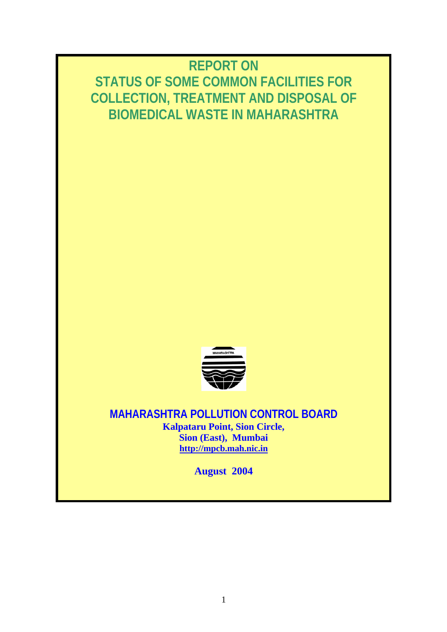# **REPORT ON STATUS OF SOME COMMON FACILITIES FOR COLLECTION, TREATMENT AND DISPOSAL OF BIOMEDICAL WASTE IN MAHARASHTRA**



**MAHARASHTRA POLLUTION CONTROL BOARD Kalpataru Point, Sion Circle, Sion (East), Mumbai http://mpcb.mah.nic.in**

**August 2004**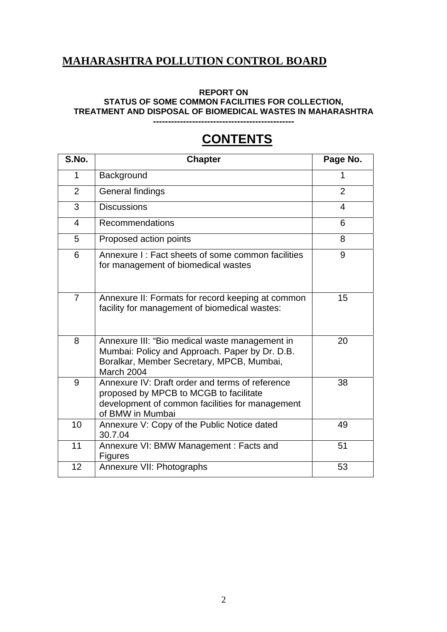# **MAHARASHTRA POLLUTION CONTROL BOARD**

#### **REPORT ON**

**STATUS OF SOME COMMON FACILITIES FOR COLLECTION,** 

**TREATMENT AND DISPOSAL OF BIOMEDICAL WASTES IN MAHARASHTRA** 

**-----------------------------------------------** 

# **CONTENTS**

| S.No.                   | <b>Chapter</b>                                                                                                                                                   | Page No.       |
|-------------------------|------------------------------------------------------------------------------------------------------------------------------------------------------------------|----------------|
| $\mathbf 1$             | Background                                                                                                                                                       | 1              |
| $\overline{2}$          | General findings                                                                                                                                                 | $\overline{2}$ |
| 3                       | <b>Discussions</b>                                                                                                                                               | 4              |
| $\overline{\mathbf{4}}$ | Recommendations                                                                                                                                                  | 6              |
| 5                       | Proposed action points                                                                                                                                           | 8              |
| 6                       | Annexure I: Fact sheets of some common facilities<br>for management of biomedical wastes                                                                         | 9              |
| $\overline{7}$          | Annexure II: Formats for record keeping at common<br>facility for management of biomedical wastes:                                                               | 15             |
| 8                       | Annexure III: "Bio medical waste management in<br>Mumbai: Policy and Approach. Paper by Dr. D.B.<br>Boralkar, Member Secretary, MPCB, Mumbai,<br>March 2004      | 20             |
| 9                       | Annexure IV: Draft order and terms of reference<br>proposed by MPCB to MCGB to facilitate<br>development of common facilities for management<br>of BMW in Mumbai | 38             |
| 10                      | Annexure V: Copy of the Public Notice dated<br>30.7.04                                                                                                           | 49             |
| 11                      | Annexure VI: BMW Management: Facts and<br><b>Figures</b>                                                                                                         | 51             |
| 12                      | Annexure VII: Photographs                                                                                                                                        | 53             |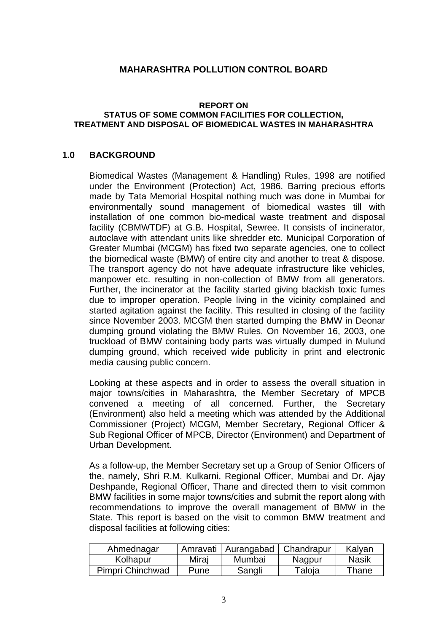### **MAHARASHTRA POLLUTION CONTROL BOARD**

#### **REPORT ON STATUS OF SOME COMMON FACILITIES FOR COLLECTION, TREATMENT AND DISPOSAL OF BIOMEDICAL WASTES IN MAHARASHTRA**

### **1.0 BACKGROUND**

Biomedical Wastes (Management & Handling) Rules, 1998 are notified under the Environment (Protection) Act, 1986. Barring precious efforts made by Tata Memorial Hospital nothing much was done in Mumbai for environmentally sound management of biomedical wastes till with installation of one common bio-medical waste treatment and disposal facility (CBMWTDF) at G.B. Hospital, Sewree. It consists of incinerator, autoclave with attendant units like shredder etc. Municipal Corporation of Greater Mumbai (MCGM) has fixed two separate agencies, one to collect the biomedical waste (BMW) of entire city and another to treat & dispose. The transport agency do not have adequate infrastructure like vehicles, manpower etc. resulting in non-collection of BMW from all generators. Further, the incinerator at the facility started giving blackish toxic fumes due to improper operation. People living in the vicinity complained and started agitation against the facility. This resulted in closing of the facility since November 2003. MCGM then started dumping the BMW in Deonar dumping ground violating the BMW Rules. On November 16, 2003, one truckload of BMW containing body parts was virtually dumped in Mulund dumping ground, which received wide publicity in print and electronic media causing public concern.

Looking at these aspects and in order to assess the overall situation in major towns/cities in Maharashtra, the Member Secretary of MPCB convened a meeting of all concerned. Further, the Secretary (Environment) also held a meeting which was attended by the Additional Commissioner (Project) MCGM, Member Secretary, Regional Officer & Sub Regional Officer of MPCB, Director (Environment) and Department of Urban Development.

As a follow-up, the Member Secretary set up a Group of Senior Officers of the, namely, Shri R.M. Kulkarni, Regional Officer, Mumbai and Dr. Ajay Deshpande, Regional Officer, Thane and directed them to visit common BMW facilities in some major towns/cities and submit the report along with recommendations to improve the overall management of BMW in the State. This report is based on the visit to common BMW treatment and disposal facilities at following cities:

| Ahmednagar       |       | Amravati   Aurangabad   Chandrapur |        | Kalyan |
|------------------|-------|------------------------------------|--------|--------|
| Kolhapur         | Mirai | Mumbai                             | Nagpur | Nasik  |
| Pimpri Chinchwad | Pune  | Sangli                             | Taloja | Thane  |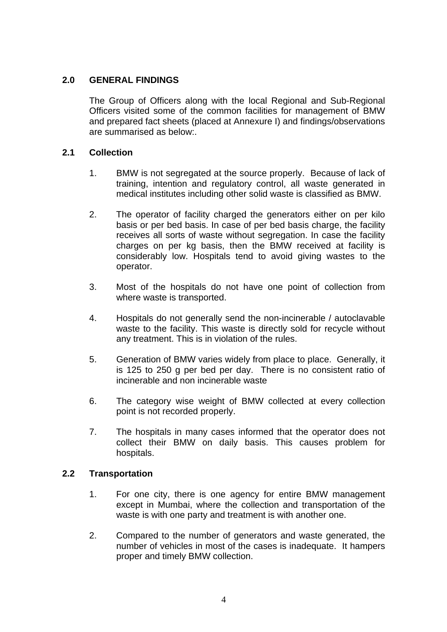### **2.0 GENERAL FINDINGS**

The Group of Officers along with the local Regional and Sub-Regional Officers visited some of the common facilities for management of BMW and prepared fact sheets (placed at Annexure I) and findings/observations are summarised as below:.

### **2.1 Collection**

- 1. BMW is not segregated at the source properly. Because of lack of training, intention and regulatory control, all waste generated in medical institutes including other solid waste is classified as BMW.
- 2. The operator of facility charged the generators either on per kilo basis or per bed basis. In case of per bed basis charge, the facility receives all sorts of waste without segregation. In case the facility charges on per kg basis, then the BMW received at facility is considerably low. Hospitals tend to avoid giving wastes to the operator.
- 3. Most of the hospitals do not have one point of collection from where waste is transported.
- 4. Hospitals do not generally send the non-incinerable / autoclavable waste to the facility. This waste is directly sold for recycle without any treatment. This is in violation of the rules.
- 5. Generation of BMW varies widely from place to place. Generally, it is 125 to 250 g per bed per day. There is no consistent ratio of incinerable and non incinerable waste
- 6. The category wise weight of BMW collected at every collection point is not recorded properly.
- 7. The hospitals in many cases informed that the operator does not collect their BMW on daily basis. This causes problem for hospitals.

### **2.2 Transportation**

- 1. For one city, there is one agency for entire BMW management except in Mumbai, where the collection and transportation of the waste is with one party and treatment is with another one.
- 2. Compared to the number of generators and waste generated, the number of vehicles in most of the cases is inadequate. It hampers proper and timely BMW collection.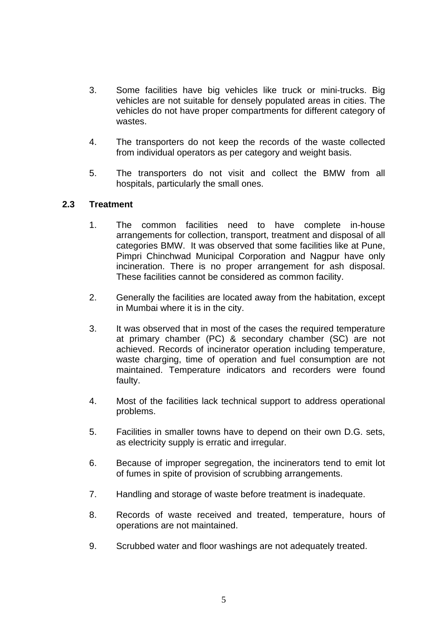- 3. Some facilities have big vehicles like truck or mini-trucks. Big vehicles are not suitable for densely populated areas in cities. The vehicles do not have proper compartments for different category of wastes.
- 4. The transporters do not keep the records of the waste collected from individual operators as per category and weight basis.
- 5. The transporters do not visit and collect the BMW from all hospitals, particularly the small ones.

### **2.3 Treatment**

- 1. The common facilities need to have complete in-house arrangements for collection, transport, treatment and disposal of all categories BMW. It was observed that some facilities like at Pune, Pimpri Chinchwad Municipal Corporation and Nagpur have only incineration. There is no proper arrangement for ash disposal. These facilities cannot be considered as common facility.
- 2. Generally the facilities are located away from the habitation, except in Mumbai where it is in the city.
- 3. It was observed that in most of the cases the required temperature at primary chamber (PC) & secondary chamber (SC) are not achieved. Records of incinerator operation including temperature, waste charging, time of operation and fuel consumption are not maintained. Temperature indicators and recorders were found faulty.
- 4. Most of the facilities lack technical support to address operational problems.
- 5. Facilities in smaller towns have to depend on their own D.G. sets, as electricity supply is erratic and irregular.
- 6. Because of improper segregation, the incinerators tend to emit lot of fumes in spite of provision of scrubbing arrangements.
- 7. Handling and storage of waste before treatment is inadequate.
- 8. Records of waste received and treated, temperature, hours of operations are not maintained.
- 9. Scrubbed water and floor washings are not adequately treated.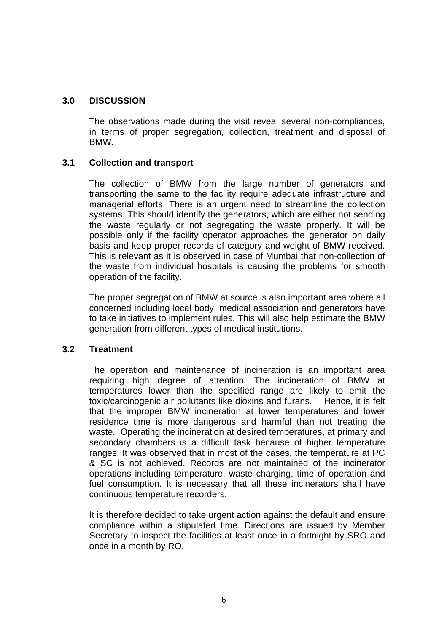### **3.0 DISCUSSION**

The observations made during the visit reveal several non-compliances, in terms of proper segregation, collection, treatment and disposal of BMW.

### **3.1 Collection and transport**

The collection of BMW from the large number of generators and transporting the same to the facility require adequate infrastructure and managerial efforts. There is an urgent need to streamline the collection systems. This should identify the generators, which are either not sending the waste regularly or not segregating the waste properly. It will be possible only if the facility operator approaches the generator on daily basis and keep proper records of category and weight of BMW received. This is relevant as it is observed in case of Mumbai that non-collection of the waste from individual hospitals is causing the problems for smooth operation of the facility.

The proper segregation of BMW at source is also important area where all concerned including local body, medical association and generators have to take initiatives to implement rules. This will also help estimate the BMW generation from different types of medical institutions.

### **3.2 Treatment**

The operation and maintenance of incineration is an important area requiring high degree of attention. The incineration of BMW at temperatures lower than the specified range are likely to emit the toxic/carcinogenic air pollutants like dioxins and furans. Hence, it is felt that the improper BMW incineration at lower temperatures and lower residence time is more dangerous and harmful than not treating the waste. Operating the incineration at desired temperatures, at primary and secondary chambers is a difficult task because of higher temperature ranges. It was observed that in most of the cases, the temperature at PC & SC is not achieved. Records are not maintained of the incinerator operations including temperature, waste charging, time of operation and fuel consumption. It is necessary that all these incinerators shall have continuous temperature recorders.

It is therefore decided to take urgent action against the default and ensure compliance within a stipulated time. Directions are issued by Member Secretary to inspect the facilities at least once in a fortnight by SRO and once in a month by RO.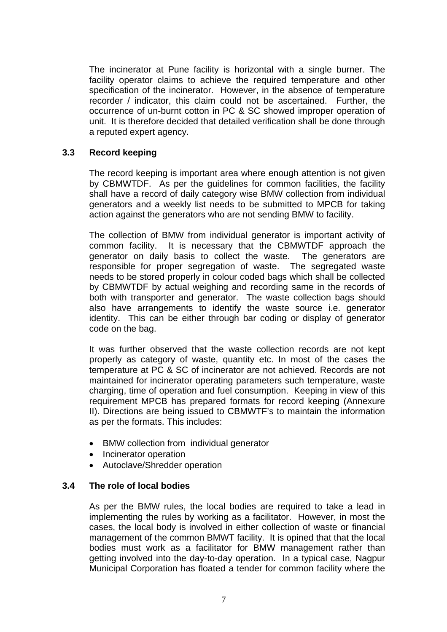The incinerator at Pune facility is horizontal with a single burner. The facility operator claims to achieve the required temperature and other specification of the incinerator. However, in the absence of temperature recorder / indicator, this claim could not be ascertained. Further, the occurrence of un-burnt cotton in PC & SC showed improper operation of unit. It is therefore decided that detailed verification shall be done through a reputed expert agency.

### **3.3 Record keeping**

The record keeping is important area where enough attention is not given by CBMWTDF. As per the guidelines for common facilities, the facility shall have a record of daily category wise BMW collection from individual generators and a weekly list needs to be submitted to MPCB for taking action against the generators who are not sending BMW to facility.

The collection of BMW from individual generator is important activity of common facility. It is necessary that the CBMWTDF approach the generator on daily basis to collect the waste. The generators are responsible for proper segregation of waste. The segregated waste needs to be stored properly in colour coded bags which shall be collected by CBMWTDF by actual weighing and recording same in the records of both with transporter and generator. The waste collection bags should also have arrangements to identify the waste source i.e. generator identity. This can be either through bar coding or display of generator code on the bag.

It was further observed that the waste collection records are not kept properly as category of waste, quantity etc. In most of the cases the temperature at PC & SC of incinerator are not achieved. Records are not maintained for incinerator operating parameters such temperature, waste charging, time of operation and fuel consumption. Keeping in view of this requirement MPCB has prepared formats for record keeping (Annexure II). Directions are being issued to CBMWTF's to maintain the information as per the formats. This includes:

- BMW collection from individual generator
- Incinerator operation
- Autoclave/Shredder operation

### **3.4 The role of local bodies**

As per the BMW rules, the local bodies are required to take a lead in implementing the rules by working as a facilitator. However, in most the cases, the local body is involved in either collection of waste or financial management of the common BMWT facility. It is opined that that the local bodies must work as a facilitator for BMW management rather than getting involved into the day-to-day operation. In a typical case, Nagpur Municipal Corporation has floated a tender for common facility where the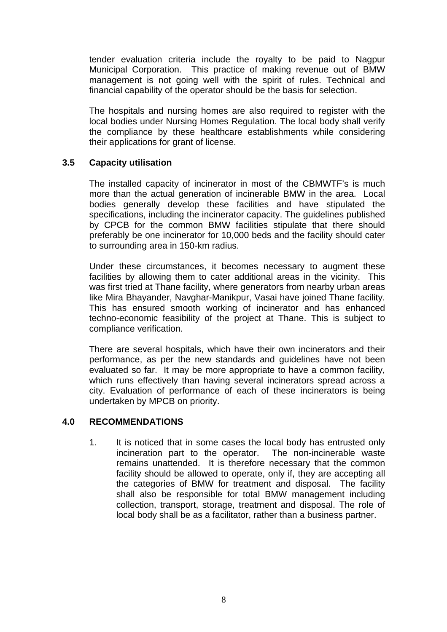tender evaluation criteria include the royalty to be paid to Nagpur Municipal Corporation. This practice of making revenue out of BMW management is not going well with the spirit of rules. Technical and financial capability of the operator should be the basis for selection.

The hospitals and nursing homes are also required to register with the local bodies under Nursing Homes Regulation. The local body shall verify the compliance by these healthcare establishments while considering their applications for grant of license.

### **3.5 Capacity utilisation**

The installed capacity of incinerator in most of the CBMWTF's is much more than the actual generation of incinerable BMW in the area. Local bodies generally develop these facilities and have stipulated the specifications, including the incinerator capacity. The guidelines published by CPCB for the common BMW facilities stipulate that there should preferably be one incinerator for 10,000 beds and the facility should cater to surrounding area in 150-km radius.

Under these circumstances, it becomes necessary to augment these facilities by allowing them to cater additional areas in the vicinity. This was first tried at Thane facility, where generators from nearby urban areas like Mira Bhayander, Navghar-Manikpur, Vasai have joined Thane facility. This has ensured smooth working of incinerator and has enhanced techno-economic feasibility of the project at Thane. This is subject to compliance verification.

There are several hospitals, which have their own incinerators and their performance, as per the new standards and guidelines have not been evaluated so far. It may be more appropriate to have a common facility, which runs effectively than having several incinerators spread across a city. Evaluation of performance of each of these incinerators is being undertaken by MPCB on priority.

### **4.0 RECOMMENDATIONS**

1. It is noticed that in some cases the local body has entrusted only incineration part to the operator. The non-incinerable waste remains unattended. It is therefore necessary that the common facility should be allowed to operate, only if, they are accepting all the categories of BMW for treatment and disposal. The facility shall also be responsible for total BMW management including collection, transport, storage, treatment and disposal. The role of local body shall be as a facilitator, rather than a business partner.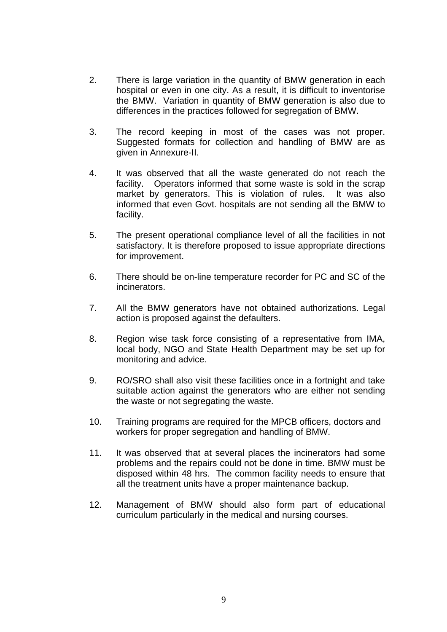- 2. There is large variation in the quantity of BMW generation in each hospital or even in one city. As a result, it is difficult to inventorise the BMW. Variation in quantity of BMW generation is also due to differences in the practices followed for segregation of BMW.
- 3. The record keeping in most of the cases was not proper. Suggested formats for collection and handling of BMW are as given in Annexure-II.
- 4. It was observed that all the waste generated do not reach the facility. Operators informed that some waste is sold in the scrap market by generators. This is violation of rules. It was also informed that even Govt. hospitals are not sending all the BMW to facility.
- 5. The present operational compliance level of all the facilities in not satisfactory. It is therefore proposed to issue appropriate directions for improvement.
- 6. There should be on-line temperature recorder for PC and SC of the incinerators.
- 7. All the BMW generators have not obtained authorizations. Legal action is proposed against the defaulters.
- 8. Region wise task force consisting of a representative from IMA, local body, NGO and State Health Department may be set up for monitoring and advice.
- 9. RO/SRO shall also visit these facilities once in a fortnight and take suitable action against the generators who are either not sending the waste or not segregating the waste.
- 10. Training programs are required for the MPCB officers, doctors and workers for proper segregation and handling of BMW.
- 11. It was observed that at several places the incinerators had some problems and the repairs could not be done in time. BMW must be disposed within 48 hrs. The common facility needs to ensure that all the treatment units have a proper maintenance backup.
- 12. Management of BMW should also form part of educational curriculum particularly in the medical and nursing courses.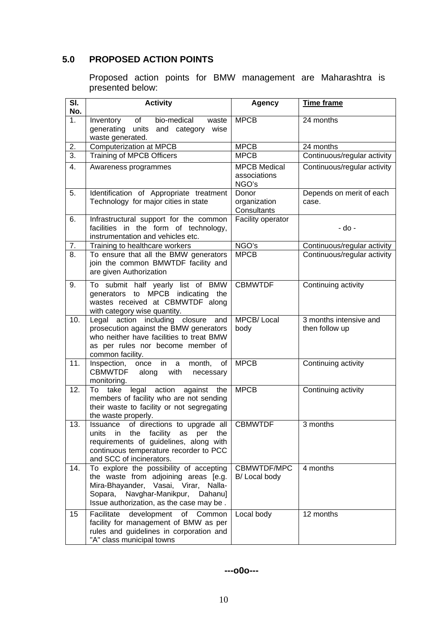# **5.0 PROPOSED ACTION POINTS**

Proposed action points for BMW management are Maharashtra is presented below:

| SI.<br>No.       | <b>Activity</b>                                                                                                                                                                                                | <b>Agency</b>                                | <b>Time frame</b>                        |
|------------------|----------------------------------------------------------------------------------------------------------------------------------------------------------------------------------------------------------------|----------------------------------------------|------------------------------------------|
| 1 <sub>1</sub>   | bio-medical<br>Inventory<br>of<br>waste<br>generating units and category wise<br>waste generated.                                                                                                              | <b>MPCB</b>                                  | 24 months                                |
| 2.               | Computerization at MPCB                                                                                                                                                                                        | <b>MPCB</b>                                  | 24 months                                |
| $\overline{3}$ . | <b>Training of MPCB Officers</b>                                                                                                                                                                               | <b>MPCB</b>                                  | Continuous/regular activity              |
| 4.               | Awareness programmes                                                                                                                                                                                           | <b>MPCB</b> Medical<br>associations<br>NGO's | Continuous/regular activity              |
| 5.               | Identification of Appropriate treatment<br>Technology for major cities in state                                                                                                                                | Donor<br>organization<br>Consultants         | Depends on merit of each<br>case.        |
| 6.               | Infrastructural support for the common<br>facilities in the form of technology,<br>instrumentation and vehicles etc.                                                                                           | Facility operator                            | - do -                                   |
| 7.               | Training to healthcare workers                                                                                                                                                                                 | NGO's                                        | Continuous/regular activity              |
| 8.               | To ensure that all the BMW generators<br>join the common BMWTDF facility and<br>are given Authorization                                                                                                        | <b>MPCB</b>                                  | Continuous/regular activity              |
| 9.               | To submit half yearly list of BMW<br>generators to MPCB indicating the<br>wastes received at CBMWTDF along<br>with category wise quantity.                                                                     | <b>CBMWTDF</b>                               | Continuing activity                      |
| 10.              | Legal action including closure<br>and<br>prosecution against the BMW generators<br>who neither have facilities to treat BMW<br>as per rules nor become member of<br>common facility.                           | <b>MPCB/Local</b><br>body                    | 3 months intensive and<br>then follow up |
| 11.              | Inspection, once<br>month,<br>in<br>a<br>of<br><b>CBMWTDF</b><br>along<br>with<br>necessary<br>monitoring.                                                                                                     | <b>MPCB</b>                                  | Continuing activity                      |
| 12.              | legal action<br>against the<br>To take<br>members of facility who are not sending<br>their waste to facility or not segregating<br>the waste properly.                                                         | <b>MPCB</b>                                  | Continuing activity                      |
| 13.              | of directions to upgrade all<br>Issuance<br>units in the facility as per the<br>requirements of guidelines, along with<br>continuous temperature recorder to PCC<br>and SCC of incinerators.                   | <b>CBMWTDF</b>                               | 3 months                                 |
| 14.              | To explore the possibility of accepting<br>the waste from adjoining areas [e.g.<br>Mira-Bhayander, Vasai, Virar, Nalla-<br>Navghar-Manikpur,<br>Sopara,<br>Dahanu]<br>Issue authorization, as the case may be. | CBMWTDF/MPC<br>B/ Local body                 | 4 months                                 |
| 15               | development<br>of Common<br>Facilitate<br>facility for management of BMW as per<br>rules and guidelines in corporation and<br>"A" class municipal towns                                                        | Local body                                   | 12 months                                |

 **---o0o---**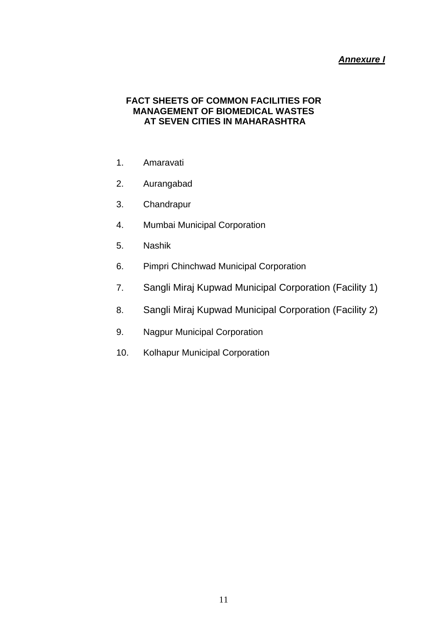### *Annexure I*

### **FACT SHEETS OF COMMON FACILITIES FOR MANAGEMENT OF BIOMEDICAL WASTES AT SEVEN CITIES IN MAHARASHTRA**

- 1. Amaravati
- 2. Aurangabad
- 3. Chandrapur
- 4. Mumbai Municipal Corporation
- 5. Nashik
- 6. Pimpri Chinchwad Municipal Corporation
- 7. Sangli Miraj Kupwad Municipal Corporation (Facility 1)
- 8. Sangli Miraj Kupwad Municipal Corporation (Facility 2)
- 9. Nagpur Municipal Corporation
- 10. Kolhapur Municipal Corporation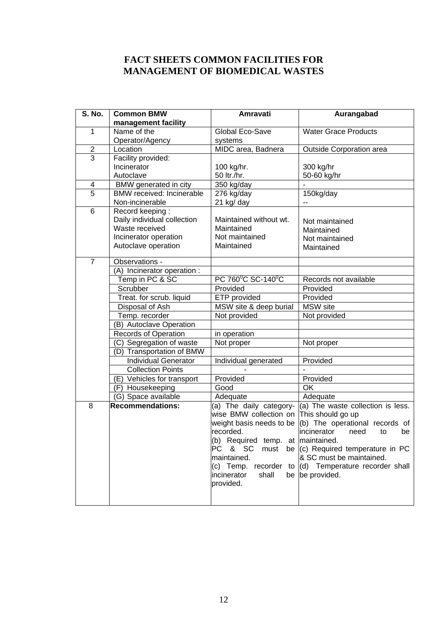### **FACT SHEETS COMMON FACILITIES FOR MANAGEMENT OF BIOMEDICAL WASTES**

| <b>S. No.</b>  | <b>Common BMW</b>                | Amravati                          | Aurangabad                                                       |
|----------------|----------------------------------|-----------------------------------|------------------------------------------------------------------|
|                | management facility              |                                   |                                                                  |
| 1              | Name of the                      | Global Eco-Save                   | <b>Water Grace Products</b>                                      |
|                | Operator/Agency                  | systems                           |                                                                  |
| $\overline{2}$ | Location                         | MIDC area, Badnera                | Outside Corporation area                                         |
| 3              | Facility provided:               |                                   |                                                                  |
|                | Incinerator                      | 100 kg/hr.                        | 300 kg/hr                                                        |
|                | Autoclave                        | 50 ltr./hr.                       | 50-60 kg/hr                                                      |
| 4              | BMW generated in city            | 350 kg/day                        |                                                                  |
| $\overline{5}$ | <b>BMW</b> received: Incinerable | 276 kg/day                        | 150kg/day                                                        |
|                | Non-incinerable                  | 21 kg/ day                        | $-$                                                              |
| 6              | Record keeping:                  |                                   |                                                                  |
|                | Daily individual collection      | Maintained without wt.            | Not maintained                                                   |
|                | Waste received                   | Maintained                        | Maintained                                                       |
|                | Incinerator operation            | Not maintained                    | Not maintained                                                   |
|                | Autoclave operation              | Maintained                        | Maintained                                                       |
| $\overline{7}$ | Observations -                   |                                   |                                                                  |
|                | (A) Incinerator operation :      |                                   |                                                                  |
|                | Temp in PC & SC                  | PC 760°C SC-140°C                 | Records not available                                            |
|                | Scrubber                         | Provided                          | Provided                                                         |
|                | Treat. for scrub. liquid         | ETP provided                      | Provided                                                         |
|                | Disposal of Ash                  | MSW site & deep burial            | <b>MSW</b> site                                                  |
|                | Temp. recorder                   | Not provided                      | Not provided                                                     |
|                | (B) Autoclave Operation          |                                   |                                                                  |
|                | Records of Operation             | in operation                      |                                                                  |
|                | (C) Segregation of waste         | Not proper                        | Not proper                                                       |
|                | (D) Transportation of BMW        |                                   |                                                                  |
|                | <b>Individual Generator</b>      | Individual generated              | Provided                                                         |
|                | <b>Collection Points</b>         |                                   |                                                                  |
|                | (E) Vehicles for transport       | Provided                          | Provided                                                         |
|                | (F) Housekeeping                 | Good                              | $\overline{\text{OK}}$                                           |
|                | (G) Space available              | Adequate                          | Adequate                                                         |
| 8              | <b>Recommendations:</b>          | (a) The daily category-           | (a) The waste collection is less.                                |
|                |                                  | wise BMW collection on            | This should go up                                                |
|                |                                  | weight basis needs to be          | (b) The operational records of                                   |
|                |                                  | recorded.                         | incinerator<br>need<br>to<br>be                                  |
|                |                                  | (b) Required temp. at maintained. |                                                                  |
|                |                                  | PC & SC<br>must                   | be (c) Required temperature in PC                                |
|                |                                  | maintained.                       | & SC must be maintained.                                         |
|                |                                  |                                   | (c) Temp. recorder to $\vert d \vert$ Temperature recorder shall |
|                |                                  | shall<br>incinerator              | be be provided.                                                  |
|                |                                  | provided.                         |                                                                  |
|                |                                  |                                   |                                                                  |
|                |                                  |                                   |                                                                  |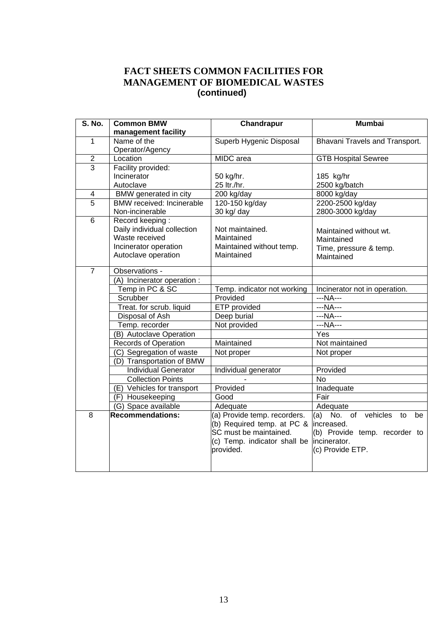## **FACT SHEETS COMMON FACILITIES FOR MANAGEMENT OF BIOMEDICAL WASTES (continued)**

| <b>S. No.</b>  | <b>Common BMW</b>           | Chandrapur                   | <b>Mumbai</b>                      |
|----------------|-----------------------------|------------------------------|------------------------------------|
|                | management facility         |                              |                                    |
| $\mathbf{1}$   | Name of the                 | Superb Hygenic Disposal      | Bhavani Travels and Transport.     |
|                | Operator/Agency             |                              |                                    |
| $\overline{2}$ | Location                    | MIDC area                    | <b>GTB Hospital Sewree</b>         |
| $\overline{3}$ | Facility provided:          |                              |                                    |
|                | Incinerator                 | 50 kg/hr.                    | 185 kg/hr                          |
|                | Autoclave                   | 25 ltr./hr.                  | 2500 kg/batch                      |
| 4              | BMW generated in city       | 200 kg/day                   | 8000 kg/day                        |
| $\overline{5}$ | BMW received: Incinerable   | 120-150 kg/day               | 2200-2500 kg/day                   |
|                | Non-incinerable             | 30 kg/ day                   | 2800-3000 kg/day                   |
| 6              | Record keeping:             |                              |                                    |
|                | Daily individual collection | Not maintained.              | Maintained without wt.             |
|                | Waste received              | Maintained                   | Maintained                         |
|                | Incinerator operation       | Maintained without temp.     | Time, pressure & temp.             |
|                | Autoclave operation         | Maintained                   | Maintained                         |
|                |                             |                              |                                    |
| $\overline{7}$ | Observations -              |                              |                                    |
|                | (A) Incinerator operation : |                              |                                    |
|                | Temp in PC & SC             | Temp. indicator not working  | Incinerator not in operation.      |
|                | Scrubber                    | Provided                     | $--NA--$                           |
|                | Treat. for scrub. liquid    | ETP provided                 | ---NA---                           |
|                | Disposal of Ash             | Deep burial                  | $--NA--$                           |
|                | Temp. recorder              | Not provided                 | ---NA---                           |
|                | (B) Autoclave Operation     |                              | Yes                                |
|                | <b>Records of Operation</b> | Maintained                   | Not maintained                     |
|                | (C) Segregation of waste    | Not proper                   | Not proper                         |
|                | (D) Transportation of BMW   |                              |                                    |
|                | <b>Individual Generator</b> | Individual generator         | Provided                           |
|                | <b>Collection Points</b>    |                              | $\overline{N}$                     |
|                | (E) Vehicles for transport  | Provided                     | Inadequate                         |
|                | (F) Housekeeping            | Good                         | Fair                               |
|                | (G) Space available         | Adequate                     | Adequate                           |
| 8              | <b>Recommendations:</b>     | (a) Provide temp. recorders. | (a) No. of<br>vehicles<br>to<br>be |
|                |                             | (b) Required temp. at PC &   | increased.                         |
|                |                             | SC must be maintained.       | (b) Provide temp. recorder to      |
|                |                             | (c) Temp. indicator shall be | incinerator.                       |
|                |                             | provided.                    | (c) Provide ETP.                   |
|                |                             |                              |                                    |
|                |                             |                              |                                    |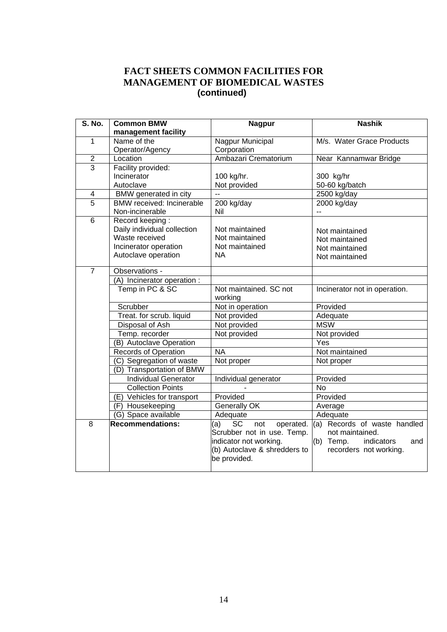## **FACT SHEETS COMMON FACILITIES FOR MANAGEMENT OF BIOMEDICAL WASTES (continued)**

| <b>S. No.</b>           | <b>Common BMW</b>           | <b>Nagpur</b>                        | <b>Nashik</b>                  |
|-------------------------|-----------------------------|--------------------------------------|--------------------------------|
|                         | management facility         |                                      |                                |
| $\mathbf{1}$            | Name of the                 | Nagpur Municipal                     | M/s. Water Grace Products      |
|                         | Operator/Agency             | Corporation                          |                                |
| $\overline{2}$          | Location                    | Ambazari Crematorium                 | Near Kannamwar Bridge          |
| $\overline{3}$          | Facility provided:          |                                      |                                |
|                         | Incinerator                 | 100 kg/hr.                           | 300 kg/hr                      |
|                         | Autoclave                   | Not provided                         | 50-60 kg/batch                 |
| $\overline{\mathbf{4}}$ | BMW generated in city       | $\ddot{\phantom{a}}$                 | 2500 kg/day                    |
| $\overline{5}$          | BMW received: Incinerable   | 200 kg/day                           | $2000$ kg/day                  |
|                         | Non-incinerable             | Nil                                  | --                             |
| $6\phantom{1}$          | Record keeping:             |                                      |                                |
|                         | Daily individual collection | Not maintained                       | Not maintained                 |
|                         | Waste received              | Not maintained                       | Not maintained                 |
|                         | Incinerator operation       | Not maintained                       | Not maintained                 |
|                         | Autoclave operation         | <b>NA</b>                            | Not maintained                 |
|                         |                             |                                      |                                |
| $\overline{7}$          | Observations -              |                                      |                                |
|                         | (A) Incinerator operation : |                                      |                                |
|                         | Temp in PC & SC             | Not maintained. SC not               | Incinerator not in operation.  |
|                         |                             | working                              |                                |
|                         | Scrubber                    | Not in operation                     | Provided                       |
|                         | Treat. for scrub. liquid    | Not provided                         | Adequate                       |
|                         | Disposal of Ash             | Not provided                         | <b>MSW</b>                     |
|                         | Temp. recorder              | Not provided                         | Not provided                   |
|                         | (B) Autoclave Operation     |                                      | Yes                            |
|                         | <b>Records of Operation</b> | <b>NA</b>                            | Not maintained                 |
|                         | (C) Segregation of waste    | Not proper                           | Not proper                     |
|                         | (D) Transportation of BMW   |                                      |                                |
|                         | <b>Individual Generator</b> | Individual generator                 | Provided                       |
|                         | <b>Collection Points</b>    |                                      | <b>No</b>                      |
|                         | (E) Vehicles for transport  | Provided                             | Provided                       |
|                         | (F) Housekeeping            | Generally OK                         | Average                        |
|                         | (G) Space available         | Adequate                             | Adequate                       |
| 8                       | <b>Recommendations:</b>     | <b>SC</b><br>not<br>operated.<br>(a) | (a) Records of waste handled   |
|                         |                             | Scrubber not in use. Temp.           | not maintained.                |
|                         |                             | indicator not working.               | (b) Temp.<br>indicators<br>and |
|                         |                             | (b) Autoclave & shredders to         | recorders not working.         |
|                         |                             | be provided.                         |                                |
|                         |                             |                                      |                                |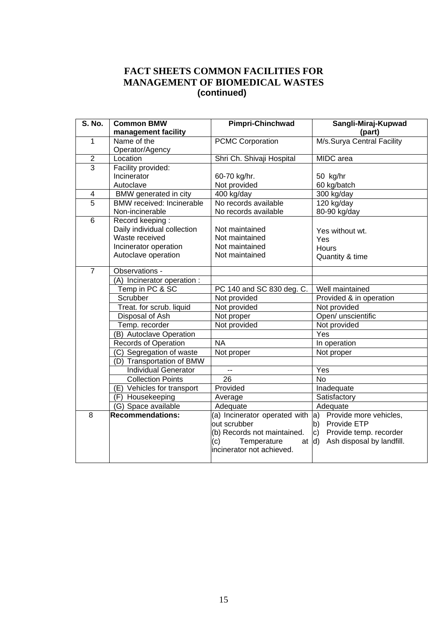## **FACT SHEETS COMMON FACILITIES FOR MANAGEMENT OF BIOMEDICAL WASTES (continued)**

| <b>S. No.</b>           | <b>Common BMW</b>                | Pimpri-Chinchwad<br>Sangli-Miraj-Kupwad |                                           |  |
|-------------------------|----------------------------------|-----------------------------------------|-------------------------------------------|--|
|                         | management facility              |                                         | (part)                                    |  |
| $\mathbf{1}$            | Name of the                      | <b>PCMC Corporation</b>                 | M/s.Surya Central Facility                |  |
|                         | Operator/Agency                  |                                         |                                           |  |
| $\overline{2}$          | Location                         | Shri Ch. Shivaji Hospital               | MIDC area                                 |  |
| $\overline{3}$          | Facility provided:               |                                         |                                           |  |
|                         | Incinerator                      | 60-70 kg/hr.                            | 50 kg/hr                                  |  |
|                         | Autoclave                        | Not provided                            | 60 kg/batch                               |  |
| $\overline{\mathbf{4}}$ | <b>BMW</b> generated in city     | 400 kg/day                              | 300 kg/day                                |  |
| $\overline{5}$          | <b>BMW</b> received: Incinerable | No records available                    | 120 kg/day                                |  |
|                         | Non-incinerable                  | No records available                    | 80-90 kg/day                              |  |
| 6                       | Record keeping:                  |                                         |                                           |  |
|                         | Daily individual collection      | Not maintained                          | Yes without wt.                           |  |
|                         | Waste received                   | Not maintained                          | Yes                                       |  |
|                         | Incinerator operation            | Not maintained                          | Hours                                     |  |
|                         | Autoclave operation              | Not maintained                          | Quantity & time                           |  |
| $\overline{7}$          | Observations -                   |                                         |                                           |  |
|                         | (A) Incinerator operation :      |                                         |                                           |  |
|                         | Temp in PC & SC                  | PC 140 and SC 830 deg. C.               | Well maintained                           |  |
|                         | Scrubber                         | Not provided                            | Provided & in operation                   |  |
|                         | Treat. for scrub. liquid         | Not provided                            | Not provided                              |  |
|                         | Disposal of Ash                  | Not proper                              | Open/ unscientific                        |  |
|                         | Temp. recorder                   | Not provided                            | Not provided                              |  |
|                         | (B) Autoclave Operation          |                                         | Yes                                       |  |
|                         | <b>Records of Operation</b>      | <b>NA</b>                               | In operation                              |  |
|                         | (C) Segregation of waste         | Not proper                              | Not proper                                |  |
|                         | (D) Transportation of BMW        |                                         |                                           |  |
|                         | <b>Individual Generator</b>      | --                                      | Yes                                       |  |
|                         | <b>Collection Points</b>         | $\overline{26}$                         | <b>No</b>                                 |  |
|                         | (E) Vehicles for transport       | Provided                                | Inadequate                                |  |
|                         | (F) Housekeeping                 | Average                                 | Satisfactory                              |  |
|                         | (G) Space available              | Adequate                                | Adequate                                  |  |
| 8                       | <b>Recommendations:</b>          | (a) Incinerator operated with           | a) Provide more vehicles,                 |  |
|                         |                                  | out scrubber                            | b) Provide ETP                            |  |
|                         |                                  | (b) Records not maintained.             | Provide temp. recorder<br>c)              |  |
|                         |                                  | Temperature<br>(c)<br>at                | Ash disposal by landfill.<br>$\mathsf{d}$ |  |
|                         |                                  | incinerator not achieved.               |                                           |  |
|                         |                                  |                                         |                                           |  |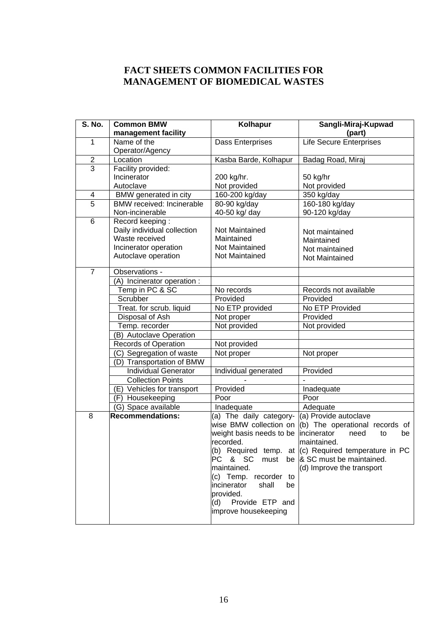## **FACT SHEETS COMMON FACILITIES FOR MANAGEMENT OF BIOMEDICAL WASTES**

| S. No.                  | <b>Common BMW</b>                | Kolhapur                   | Sangli-Miraj-Kupwad                                      |
|-------------------------|----------------------------------|----------------------------|----------------------------------------------------------|
|                         | management facility              |                            | (part)                                                   |
| 1                       | Name of the                      | Dass Enterprises           | <b>Life Secure Enterprises</b>                           |
|                         | Operator/Agency                  |                            |                                                          |
| $\overline{2}$          | Location                         | Kasba Barde, Kolhapur      | Badag Road, Miraj                                        |
| $\overline{3}$          | Facility provided:               |                            |                                                          |
|                         | Incinerator                      | 200 kg/hr.                 | 50 kg/hr                                                 |
|                         | Autoclave                        | Not provided               | Not provided                                             |
| $\overline{\mathbf{4}}$ | BMW generated in city            | 160-200 kg/day             | $350$ kg/day                                             |
| $\overline{5}$          | <b>BMW</b> received: Incinerable | 80-90 kg/day               | 160-180 kg/day                                           |
|                         | Non-incinerable                  | 40-50 kg/ day              | 90-120 kg/day                                            |
| $6\phantom{1}$          | Record keeping:                  |                            |                                                          |
|                         | Daily individual collection      | Not Maintained             | Not maintained                                           |
|                         | Waste received                   | Maintained                 | Maintained                                               |
|                         | Incinerator operation            | Not Maintained             | Not maintained                                           |
|                         | Autoclave operation              | Not Maintained             | Not Maintained                                           |
| $\overline{7}$          | Observations -                   |                            |                                                          |
|                         | (A) Incinerator operation:       |                            |                                                          |
|                         | Temp in PC & SC                  | No records                 | Records not available                                    |
|                         | Scrubber                         | Provided                   | Provided                                                 |
|                         | Treat. for scrub. liquid         | No ETP provided            | No ETP Provided                                          |
|                         | Disposal of Ash                  | Not proper                 | Provided                                                 |
|                         | Temp. recorder                   | Not provided               | Not provided                                             |
|                         | (B) Autoclave Operation          |                            |                                                          |
|                         | <b>Records of Operation</b>      | Not provided               |                                                          |
|                         | (C) Segregation of waste         | Not proper                 | Not proper                                               |
|                         | (D) Transportation of BMW        |                            |                                                          |
|                         | <b>Individual Generator</b>      | Individual generated       | Provided                                                 |
|                         | <b>Collection Points</b>         |                            |                                                          |
|                         | (E) Vehicles for transport       | Provided                   | Inadequate                                               |
|                         | (F) Housekeeping                 | Poor                       | Poor                                                     |
|                         | (G) Space available              | Inadequate                 | Adequate                                                 |
| 8                       | <b>Recommendations:</b>          | (a) The daily category-    | (a) Provide autoclave                                    |
|                         |                                  | wise BMW collection on     | (b) The operational records of                           |
|                         |                                  | weight basis needs to be   | incinerator<br>need<br>to<br>be                          |
|                         |                                  | recorded.                  | maintained.                                              |
|                         |                                  |                            | (b) Required temp. at $ $ (c) Required temperature in PC |
|                         |                                  | PC & SC<br>must            | be & SC must be maintained.                              |
|                         |                                  | maintained.                | (d) Improve the transport                                |
|                         |                                  | (c) Temp. recorder to      |                                                          |
|                         |                                  | incinerator<br>shall<br>be |                                                          |
|                         |                                  | provided.                  |                                                          |
|                         |                                  | Provide ETP and<br>(d)     |                                                          |
|                         |                                  | improve housekeeping       |                                                          |
|                         |                                  |                            |                                                          |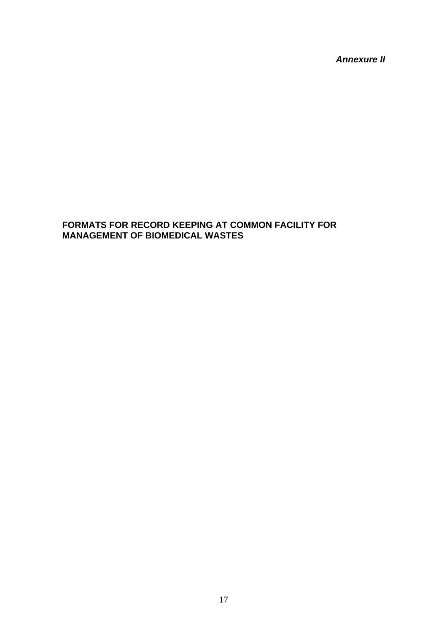*Annexure II* 

### **FORMATS FOR RECORD KEEPING AT COMMON FACILITY FOR MANAGEMENT OF BIOMEDICAL WASTES**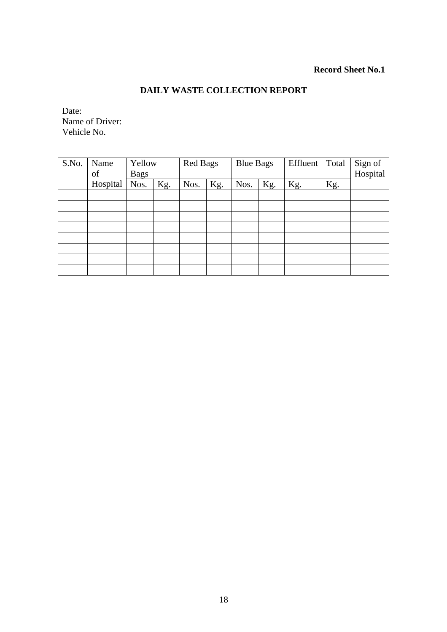### **Record Sheet No.1**

### **DAILY WASTE COLLECTION REPORT**

Date: Name of Driver: Vehicle No.

| S.No. | Name<br>of | Yellow<br><b>Bags</b> |     | <b>Red Bags</b> |     | <b>Blue Bags</b> |     | Effluent | Total | Sign of<br>Hospital |
|-------|------------|-----------------------|-----|-----------------|-----|------------------|-----|----------|-------|---------------------|
|       | Hospital   | Nos.                  | Kg. | Nos.            | Kg. | Nos.             | Kg. | Kg.      | Kg.   |                     |
|       |            |                       |     |                 |     |                  |     |          |       |                     |
|       |            |                       |     |                 |     |                  |     |          |       |                     |
|       |            |                       |     |                 |     |                  |     |          |       |                     |
|       |            |                       |     |                 |     |                  |     |          |       |                     |
|       |            |                       |     |                 |     |                  |     |          |       |                     |
|       |            |                       |     |                 |     |                  |     |          |       |                     |
|       |            |                       |     |                 |     |                  |     |          |       |                     |
|       |            |                       |     |                 |     |                  |     |          |       |                     |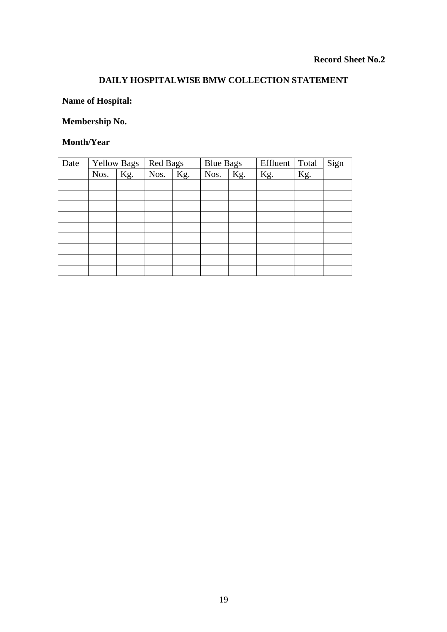## **DAILY HOSPITALWISE BMW COLLECTION STATEMENT**

### **Name of Hospital:**

# **Membership No.**

#### **Month/Year**

| Date | <b>Yellow Bags</b> |     | <b>Red Bags</b> |     |      | <b>Blue Bags</b> |     | Total | Sign |
|------|--------------------|-----|-----------------|-----|------|------------------|-----|-------|------|
|      | Nos.               | Kg. | Nos.            | Kg. | Nos. | Kg.              | Kg. | Kg.   |      |
|      |                    |     |                 |     |      |                  |     |       |      |
|      |                    |     |                 |     |      |                  |     |       |      |
|      |                    |     |                 |     |      |                  |     |       |      |
|      |                    |     |                 |     |      |                  |     |       |      |
|      |                    |     |                 |     |      |                  |     |       |      |
|      |                    |     |                 |     |      |                  |     |       |      |
|      |                    |     |                 |     |      |                  |     |       |      |
|      |                    |     |                 |     |      |                  |     |       |      |
|      |                    |     |                 |     |      |                  |     |       |      |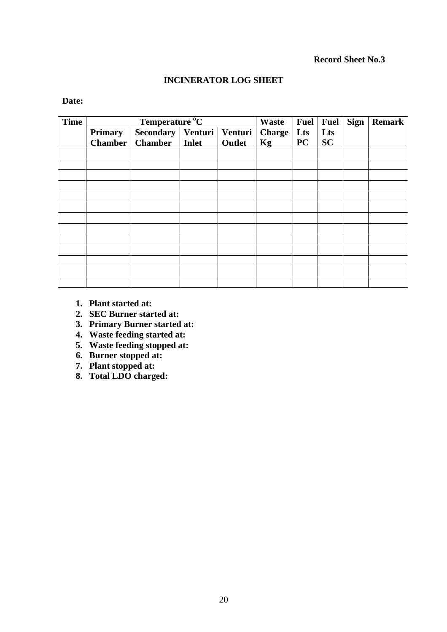#### **Record Sheet No.3**

### **INCINERATOR LOG SHEET**

### **Date:**

| <b>Time</b> |                | Waste                                 | <b>Fuel</b>  | <b>Fuel</b> | <b>Sign</b>   | <b>Remark</b> |           |  |  |
|-------------|----------------|---------------------------------------|--------------|-------------|---------------|---------------|-----------|--|--|
|             | <b>Primary</b> | Temperature °C<br>Secondary   Venturi |              | Venturi     | <b>Charge</b> | Lts           | Lts       |  |  |
|             | Chamber        | <b>Chamber</b>                        | <b>Inlet</b> | Outlet      | Kg            | <b>PC</b>     | <b>SC</b> |  |  |
|             |                |                                       |              |             |               |               |           |  |  |
|             |                |                                       |              |             |               |               |           |  |  |
|             |                |                                       |              |             |               |               |           |  |  |
|             |                |                                       |              |             |               |               |           |  |  |
|             |                |                                       |              |             |               |               |           |  |  |
|             |                |                                       |              |             |               |               |           |  |  |
|             |                |                                       |              |             |               |               |           |  |  |
|             |                |                                       |              |             |               |               |           |  |  |
|             |                |                                       |              |             |               |               |           |  |  |
|             |                |                                       |              |             |               |               |           |  |  |
|             |                |                                       |              |             |               |               |           |  |  |
|             |                |                                       |              |             |               |               |           |  |  |
|             |                |                                       |              |             |               |               |           |  |  |

- **1. Plant started at:**
- **2. SEC Burner started at:**
- **3. Primary Burner started at:**
- **4. Waste feeding started at:**
- **5. Waste feeding stopped at:**
- **6. Burner stopped at:**
- **7. Plant stopped at:**
- **8. Total LDO charged:**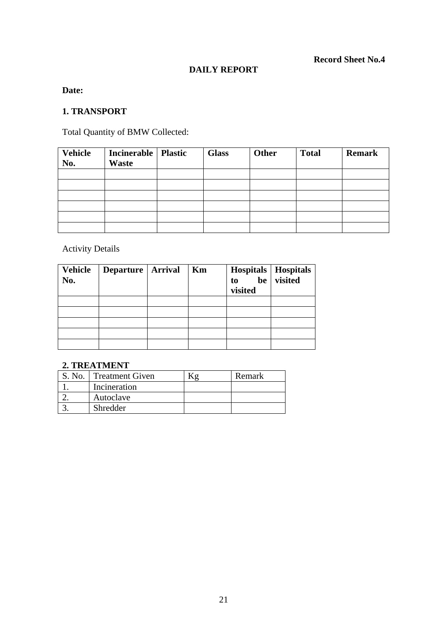### **DAILY REPORT**

### **Date:**

#### **1. TRANSPORT**

Total Quantity of BMW Collected:

| <b>Vehicle</b><br>No. | Incinerable   Plastic<br>Waste | <b>Glass</b> | <b>Other</b> | <b>Total</b> | <b>Remark</b> |
|-----------------------|--------------------------------|--------------|--------------|--------------|---------------|
|                       |                                |              |              |              |               |
|                       |                                |              |              |              |               |
|                       |                                |              |              |              |               |
|                       |                                |              |              |              |               |
|                       |                                |              |              |              |               |
|                       |                                |              |              |              |               |

Activity Details

| <b>Vehicle</b><br>No. | Departure   Arrival | Km | $\begin{array}{c c c} \textbf{Hospitals} & \textbf{Hospitals} \\ \textbf{to} & \textbf{be} & \textbf{visited} \end{array}$<br>visited |  |
|-----------------------|---------------------|----|---------------------------------------------------------------------------------------------------------------------------------------|--|
|                       |                     |    |                                                                                                                                       |  |
|                       |                     |    |                                                                                                                                       |  |
|                       |                     |    |                                                                                                                                       |  |
|                       |                     |    |                                                                                                                                       |  |
|                       |                     |    |                                                                                                                                       |  |

#### **2. TREATMENT**

| S. No. | <b>Treatment Given</b> | Remark |
|--------|------------------------|--------|
|        | Incineration           |        |
|        | Autoclave              |        |
|        | Shredder               |        |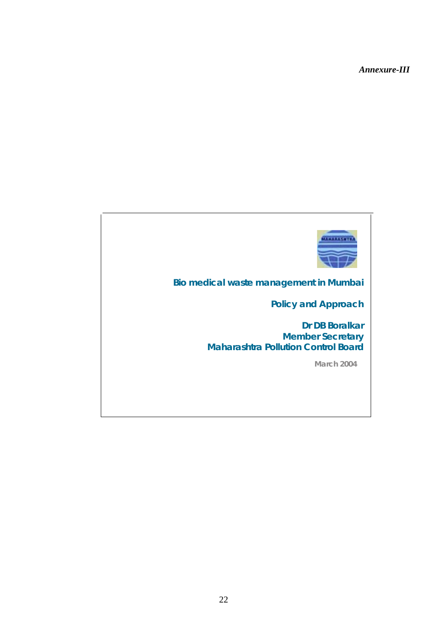*Annexure-III*

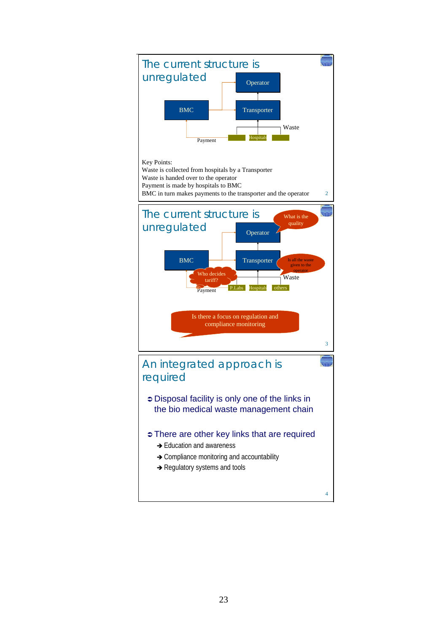

23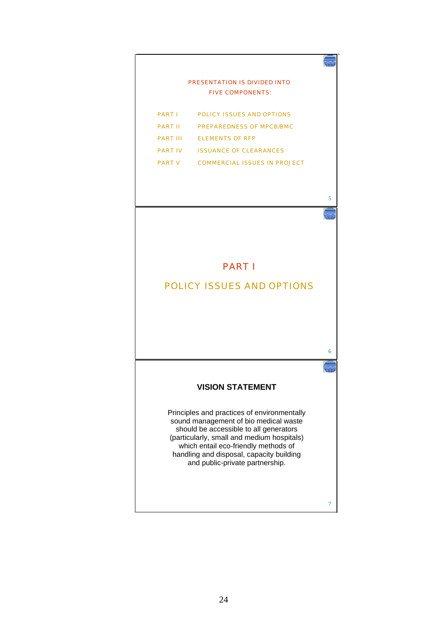

5

6

7

#### PART I

#### POLICY ISSUES AND OPTIONS

#### **VISION STATEMENT**

Principles and practices of environmentally sound management of bio medical waste should be accessible to all generators (particularly, small and medium hospitals) which entail eco-friendly methods of handling and disposal, capacity building and public-private partnership.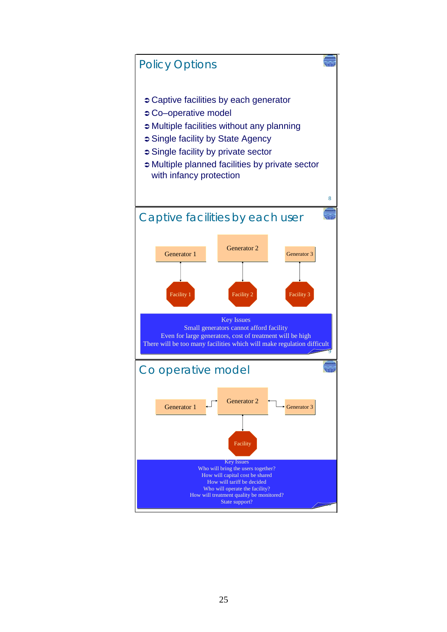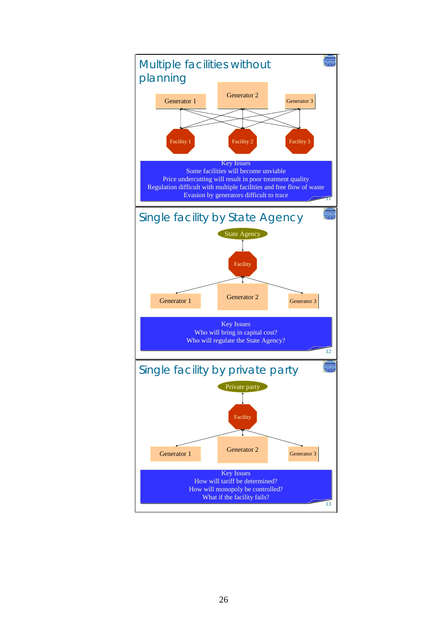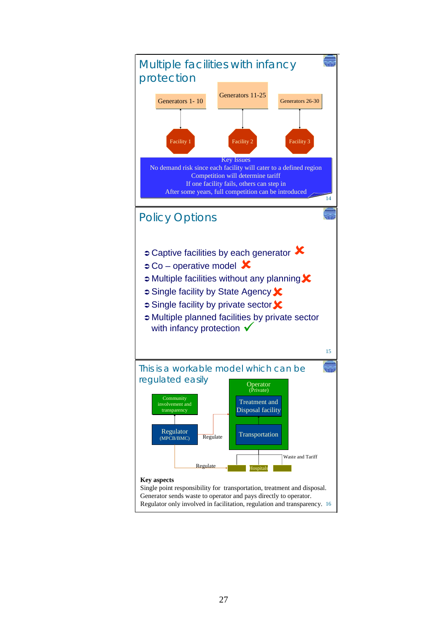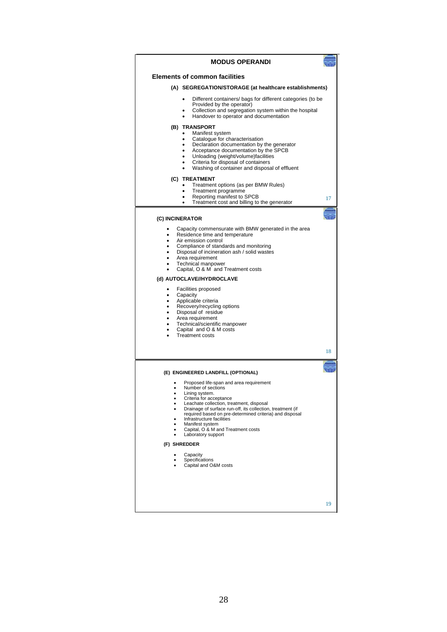| <b>MODUS OPERANDI</b>                                                                                                                                                                                                                                                                                                                                                                                                                                                                                                                                                                                                                                                                               |    |
|-----------------------------------------------------------------------------------------------------------------------------------------------------------------------------------------------------------------------------------------------------------------------------------------------------------------------------------------------------------------------------------------------------------------------------------------------------------------------------------------------------------------------------------------------------------------------------------------------------------------------------------------------------------------------------------------------------|----|
| <b>Elements of common facilities</b>                                                                                                                                                                                                                                                                                                                                                                                                                                                                                                                                                                                                                                                                |    |
| (A) SEGREGATION/STORAGE (at healthcare establishments)                                                                                                                                                                                                                                                                                                                                                                                                                                                                                                                                                                                                                                              |    |
| Different containers/ bags for different categories (to be<br>Provided by the operator)<br>Collection and segregation system within the hospital<br>Handover to operator and documentation                                                                                                                                                                                                                                                                                                                                                                                                                                                                                                          |    |
| (B) TRANSPORT<br>Manifest system<br>Catalogue for characterisation<br>$\bullet$<br>Declaration documentation by the generator<br>Acceptance documentation by the SPCB<br>Unloading (weight/volume)facilities<br>Criteria for disposal of containers<br>Washing of container and disposal of effluent<br>(C) TREATMENT                                                                                                                                                                                                                                                                                                                                                                               |    |
| Treatment options (as per BMW Rules)<br>Treatment programme<br>Reporting manifest to SPCB<br>Treatment cost and billing to the generator                                                                                                                                                                                                                                                                                                                                                                                                                                                                                                                                                            | 17 |
| (C) INCINERATOR                                                                                                                                                                                                                                                                                                                                                                                                                                                                                                                                                                                                                                                                                     |    |
| Capacity commensurate with BMW generated in the area<br>$\bullet$<br>Residence time and temperature<br>Air emission control<br>$\bullet$<br>Compliance of standards and monitoring<br>$\bullet$<br>Disposal of incineration ash / solid wastes<br>$\bullet$<br>Area requirement<br>٠<br>Technical manpower<br>٠<br>Capital, O & M and Treatment costs<br>(d) AUTOCLAVE//HYDROCLAVE<br>Facilities proposed<br>٠<br>Capacity<br>٠<br>Applicable criteria<br>$\bullet$<br>Recovery/recycling options<br>$\bullet$<br>Disposal of residue<br>$\bullet$<br>Area requirement<br>$\bullet$<br>Technical/scientific manpower<br>$\bullet$<br>Capital and O & M costs<br>$\bullet$<br><b>Treatment costs</b> |    |
|                                                                                                                                                                                                                                                                                                                                                                                                                                                                                                                                                                                                                                                                                                     | 18 |
| (E) ENGINEERED LANDFILL (OPTIONAL)<br>Proposed life-span and area requirement<br>Number of sections<br>Lining system.<br>Criteria for acceptance<br>٠<br>Leachate collection, treatment, disposal<br>Drainage of surface run-off, its collection, treatment (if<br>required based on pre-determined criteria) and disposal<br>Infrastructure facilities<br>Manifest system<br>Capital, O & M and Treatment costs<br>Laboratory support<br>(F) SHREDDER<br>Capacity<br>Specifications<br>Capital and O&M costs                                                                                                                                                                                       |    |
|                                                                                                                                                                                                                                                                                                                                                                                                                                                                                                                                                                                                                                                                                                     | 19 |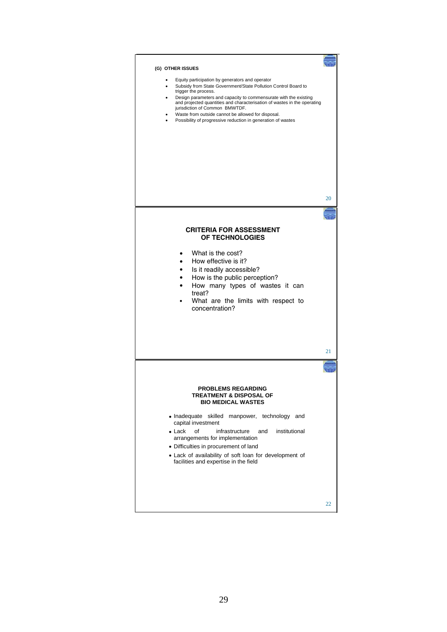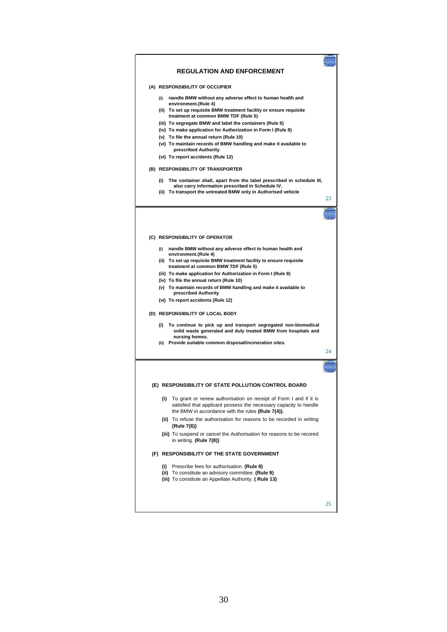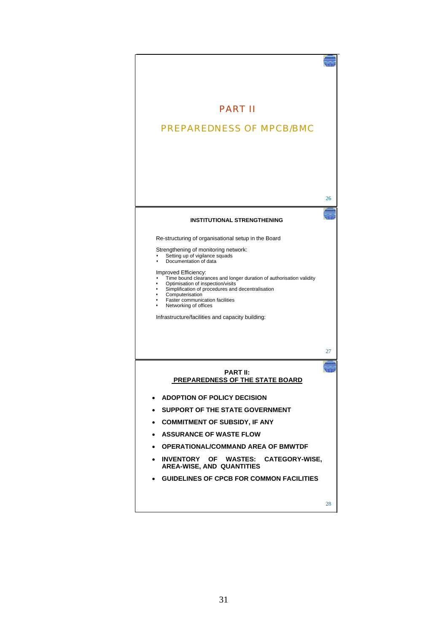| <b>PART II</b>                                                                                                                                                                                                                                                              |    |
|-----------------------------------------------------------------------------------------------------------------------------------------------------------------------------------------------------------------------------------------------------------------------------|----|
|                                                                                                                                                                                                                                                                             |    |
| <b>PREPAREDNESS OF MPCB/BMC</b>                                                                                                                                                                                                                                             |    |
|                                                                                                                                                                                                                                                                             | 26 |
| <b>INSTITUTIONAL STRENGTHENING</b>                                                                                                                                                                                                                                          |    |
| Re-structuring of organisational setup in the Board                                                                                                                                                                                                                         |    |
| Strengthening of monitoring network:<br>Setting up of vigilance squads<br>Documentation of data                                                                                                                                                                             |    |
| Improved Efficiency:<br>Time bound clearances and longer duration of authorisation validity<br>Optimisation of inspection/visits<br>Simplification of procedures and decentralisation<br>Computerisation<br><b>Faster communication facilities</b><br>Networking of offices |    |
| Infrastructure/facilities and capacity building:                                                                                                                                                                                                                            |    |
|                                                                                                                                                                                                                                                                             | 27 |
| <b>PART II:</b><br><b>PREPAREDNESS OF THE STATE BOARD</b>                                                                                                                                                                                                                   |    |
| <b>ADOPTION OF POLICY DECISION</b>                                                                                                                                                                                                                                          |    |
| SUPPORT OF THE STATE GOVERNMENT<br>$\bullet$                                                                                                                                                                                                                                |    |
| <b>COMMITMENT OF SUBSIDY, IF ANY</b><br>$\bullet$                                                                                                                                                                                                                           |    |
| <b>ASSURANCE OF WASTE FLOW</b><br>$\bullet$                                                                                                                                                                                                                                 |    |
| • OPERATIONAL/COMMAND AREA OF BMWTDF                                                                                                                                                                                                                                        |    |
| INVENTORY OF WASTES: CATEGORY-WISE.<br><b>AREA-WISE, AND QUANTITIES</b>                                                                                                                                                                                                     |    |
| <b>GUIDELINES OF CPCB FOR COMMON FACILITIES</b>                                                                                                                                                                                                                             |    |
|                                                                                                                                                                                                                                                                             | 28 |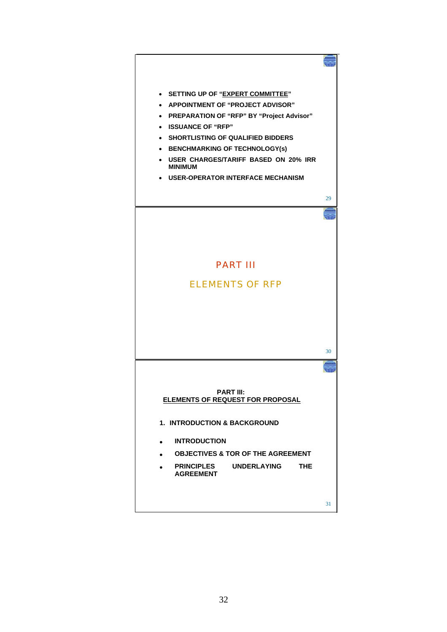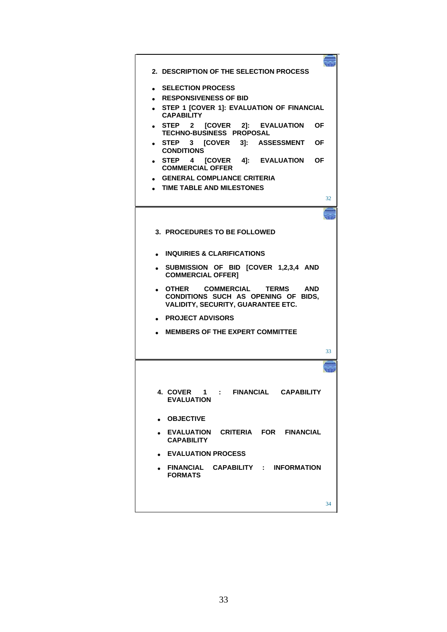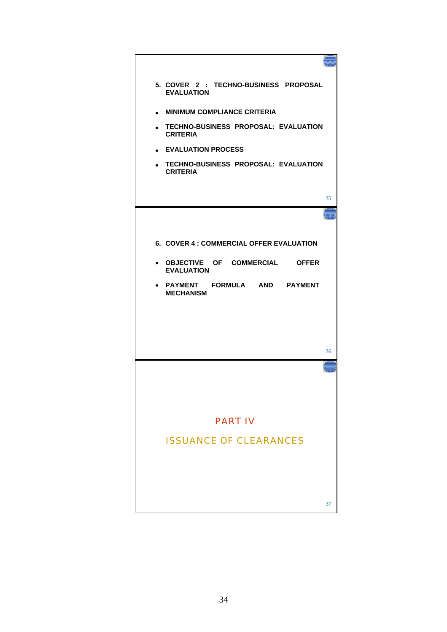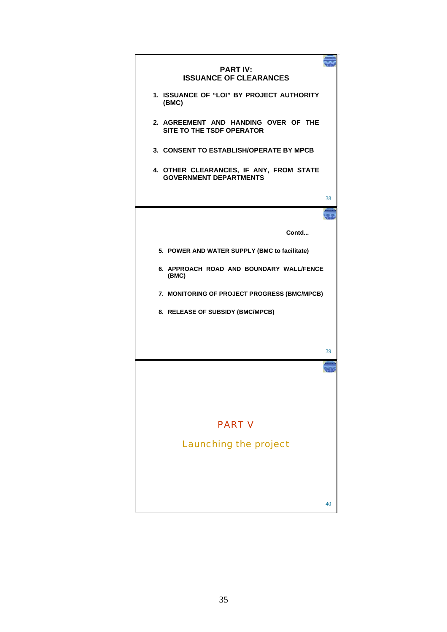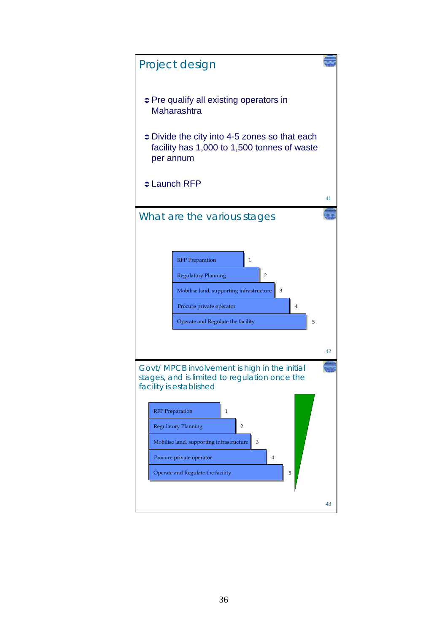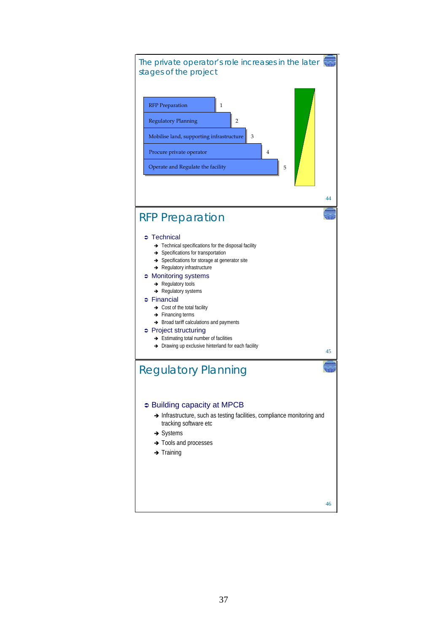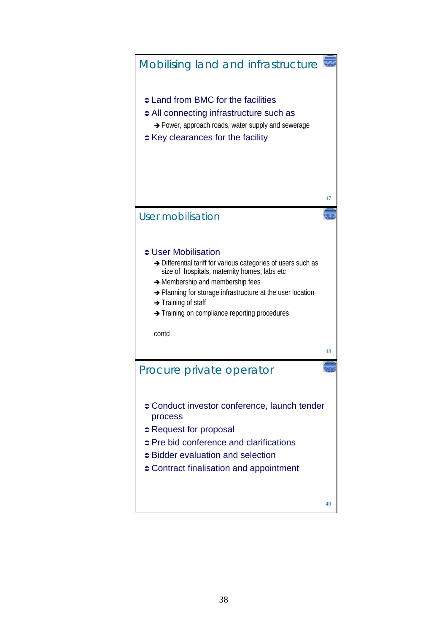